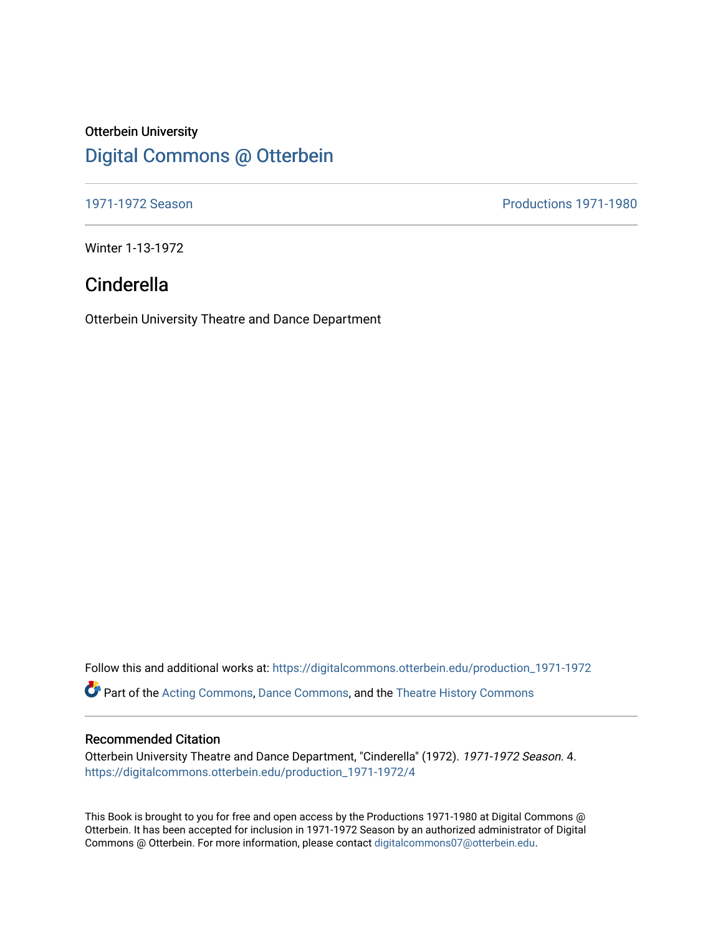## Otterbein University [Digital Commons @ Otterbein](https://digitalcommons.otterbein.edu/)

[1971-1972 Season](https://digitalcommons.otterbein.edu/production_1971-1972) [Productions 1971-1980](https://digitalcommons.otterbein.edu/productions_1971-1980) 

Winter 1-13-1972

# Cinderella

Otterbein University Theatre and Dance Department

Follow this and additional works at: [https://digitalcommons.otterbein.edu/production\\_1971-1972](https://digitalcommons.otterbein.edu/production_1971-1972?utm_source=digitalcommons.otterbein.edu%2Fproduction_1971-1972%2F4&utm_medium=PDF&utm_campaign=PDFCoverPages)  Part of the [Acting Commons](http://network.bepress.com/hgg/discipline/1145?utm_source=digitalcommons.otterbein.edu%2Fproduction_1971-1972%2F4&utm_medium=PDF&utm_campaign=PDFCoverPages), [Dance Commons](http://network.bepress.com/hgg/discipline/554?utm_source=digitalcommons.otterbein.edu%2Fproduction_1971-1972%2F4&utm_medium=PDF&utm_campaign=PDFCoverPages), and the [Theatre History Commons](http://network.bepress.com/hgg/discipline/553?utm_source=digitalcommons.otterbein.edu%2Fproduction_1971-1972%2F4&utm_medium=PDF&utm_campaign=PDFCoverPages)

### Recommended Citation

Otterbein University Theatre and Dance Department, "Cinderella" (1972). 1971-1972 Season. 4. [https://digitalcommons.otterbein.edu/production\\_1971-1972/4](https://digitalcommons.otterbein.edu/production_1971-1972/4?utm_source=digitalcommons.otterbein.edu%2Fproduction_1971-1972%2F4&utm_medium=PDF&utm_campaign=PDFCoverPages) 

This Book is brought to you for free and open access by the Productions 1971-1980 at Digital Commons @ Otterbein. It has been accepted for inclusion in 1971-1972 Season by an authorized administrator of Digital Commons @ Otterbein. For more information, please contact [digitalcommons07@otterbein.edu](mailto:digitalcommons07@otterbein.edu).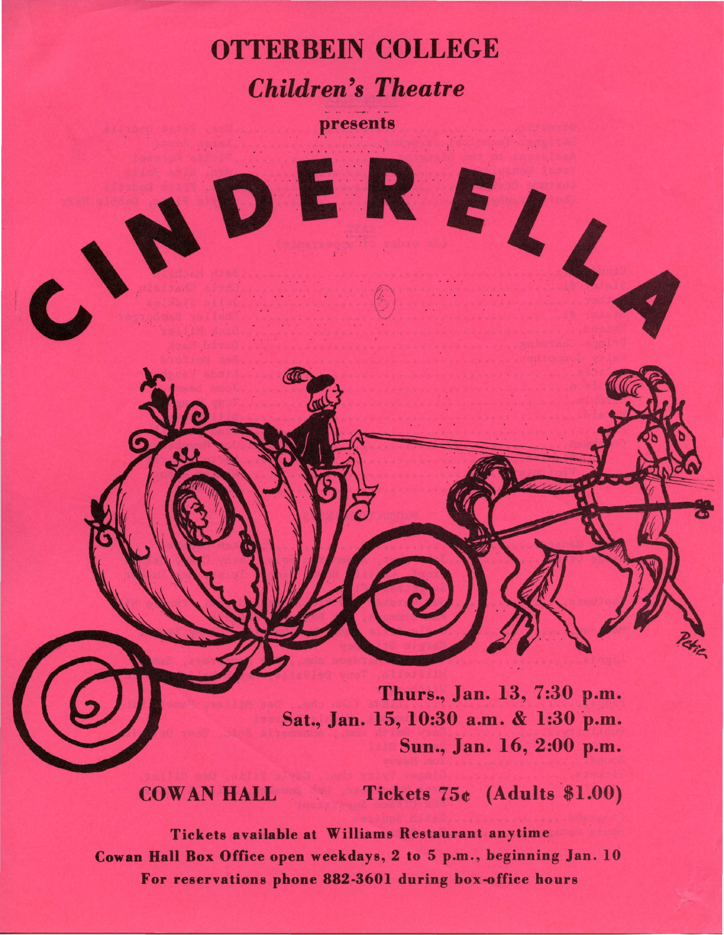

presents

·©

Thurs., Jan. 13, 7:30 p.m. Sat., Jan. 15, 10:30 a.m. & 1:30 p.m. Sun., Jan. 16, 2:00 p.m.

EREL,

 $\text{COMAN HALL}$  Tickets  $75e$  (Adults \$1.00)

Tickets available at Williams Restaurant anytime **Cowan Hall Box** Office open weekdays, 2 to 5 p.m., beginning Jan. 10 For reservations phone 882-3601 during box-office hours